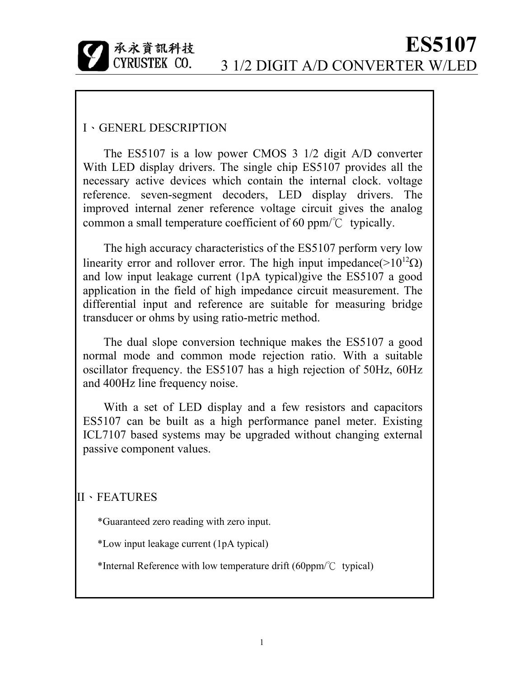

#### I、GENERL DESCRIPTION

The ES5107 is a low power CMOS 3 1/2 digit A/D converter With LED display drivers. The single chip ES5107 provides all the necessary active devices which contain the internal clock. voltage reference. seven-segment decoders, LED display drivers. The improved internal zener reference voltage circuit gives the analog common a small temperature coefficient of 60 ppm/℃ typically.

The high accuracy characteristics of the ES5107 perform very low linearity error and rollover error. The high input impedance( $>10^{12}$  $\Omega$ ) and low input leakage current (1pA typical)give the ES5107 a good application in the field of high impedance circuit measurement. The differential input and reference are suitable for measuring bridge transducer or ohms by using ratio-metric method.

The dual slope conversion technique makes the ES5107 a good normal mode and common mode rejection ratio. With a suitable oscillator frequency. the ES5107 has a high rejection of 50Hz, 60Hz and 400Hz line frequency noise.

With a set of LED display and a few resistors and capacitors ES5107 can be built as a high performance panel meter. Existing ICL7107 based systems may be upgraded without changing external passive component values.

#### II、FEATURES

\*Guaranteed zero reading with zero input.

\*Low input leakage current (1pA typical)

\*Internal Reference with low temperature drift (60ppm/℃ typical)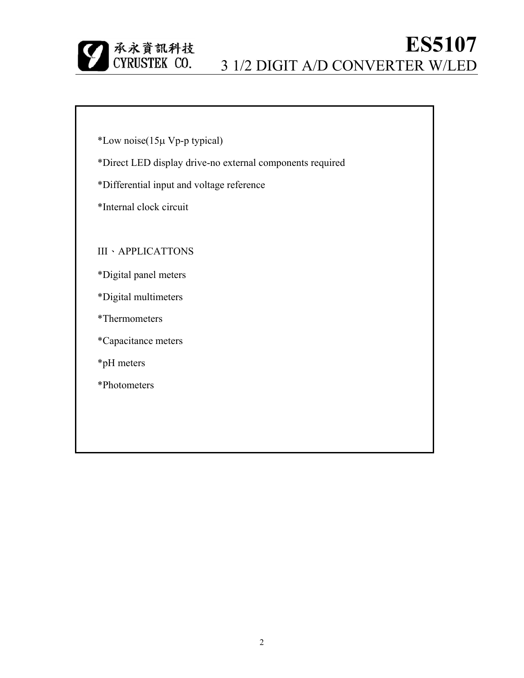

\*Low noise(15µ Vp-p typical)

\*Direct LED display drive-no external components required

\*Differential input and voltage reference

\*Internal clock circuit

III、APPLICATTONS

\*Digital panel meters

\*Digital multimeters

\*Thermometers

\*Capacitance meters

\*pH meters

\*Photometers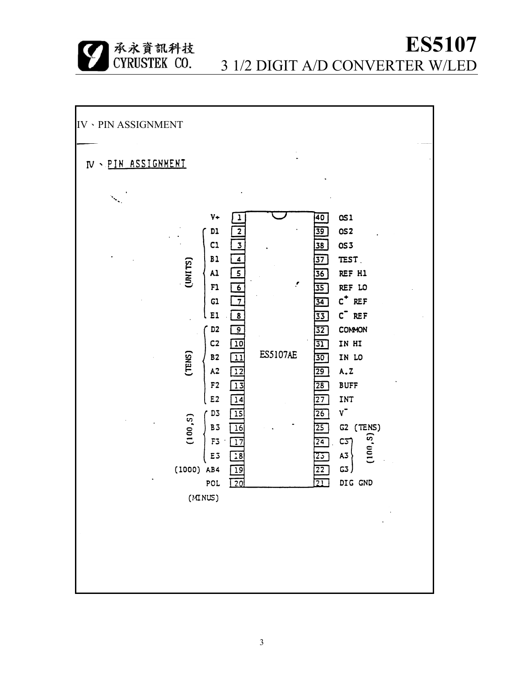| 承永資訊科技<br>| CYRUSTEK CO.

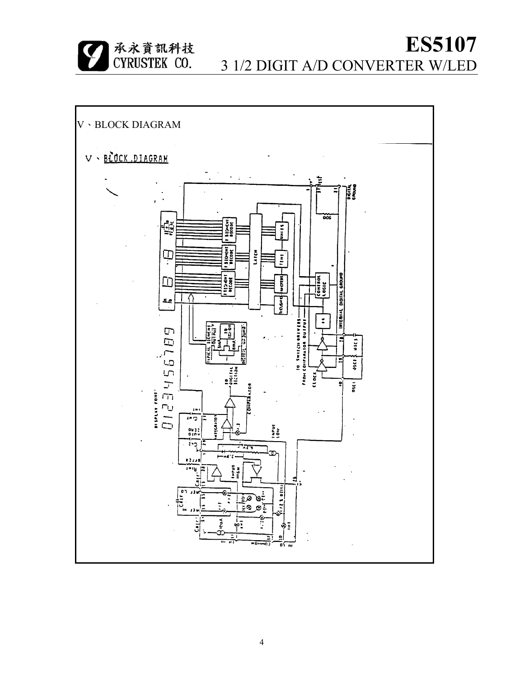|承永資訊科技<br>|CYRUSTEK CO.

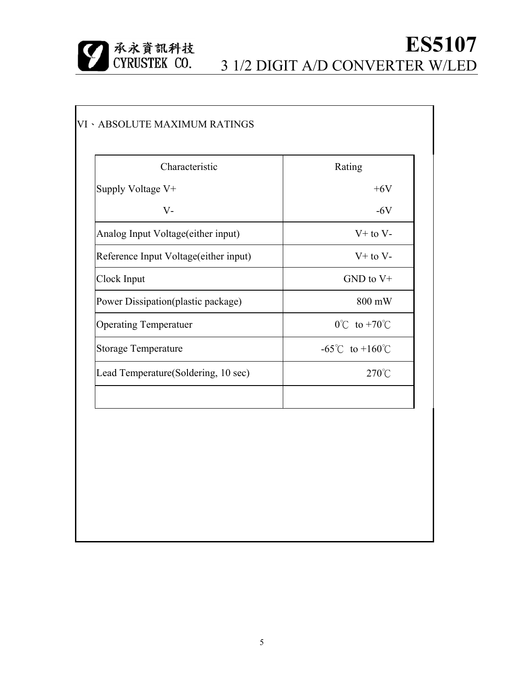

| Characteristic                        | Rating                              |  |  |
|---------------------------------------|-------------------------------------|--|--|
| Supply Voltage V+                     | $+6V$                               |  |  |
| $V -$                                 | $-6V$                               |  |  |
| Analog Input Voltage(either input)    | $V+$ to $V-$                        |  |  |
| Reference Input Voltage(either input) | $V+$ to $V-$                        |  |  |
| Clock Input                           | $GND$ to $V+$                       |  |  |
| Power Dissipation(plastic package)    | 800 mW                              |  |  |
| <b>Operating Temperatuer</b>          | $0^{\circ}$ C to +70 $^{\circ}$ C   |  |  |
| <b>Storage Temperature</b>            | $-65^{\circ}$ C to $+160^{\circ}$ C |  |  |
| Lead Temperature(Soldering, 10 sec)   | $270^{\circ}$ C                     |  |  |
|                                       |                                     |  |  |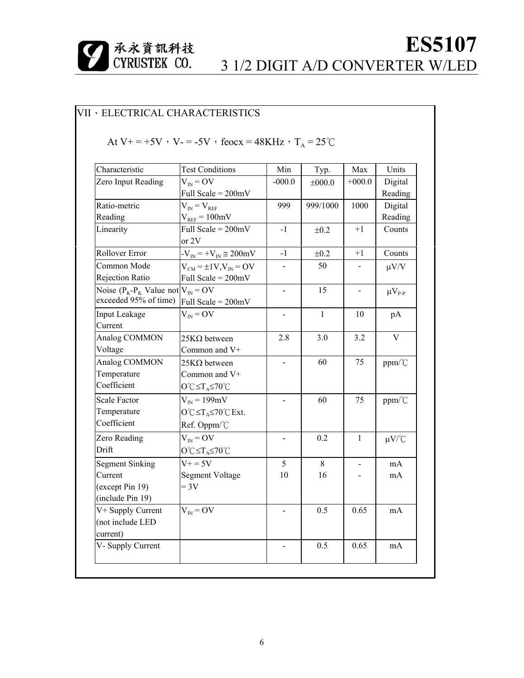

#### VII、ELECTRICAL CHARACTERISTICS

#### At V+ = +5V, V- = -5V, feocx = 48KHz,  $T_A = 25^{\circ}C$

| Characteristic                                                        | <b>Test Conditions</b>                                  | Min                      | Typ.         | Max            | Units                                   |
|-----------------------------------------------------------------------|---------------------------------------------------------|--------------------------|--------------|----------------|-----------------------------------------|
| Zero Input Reading                                                    | $V_{IN} = OV$                                           | $-000.0$                 | $\pm 000.0$  | $+000.0$       | Digital                                 |
|                                                                       | Full Scale = $200mV$                                    |                          |              |                | Reading                                 |
| Ratio-metric                                                          | $V_{IN} = V_{REF}$                                      | 999                      | 999/1000     | 1000           | Digital                                 |
| Reading                                                               | $V_{REF} = 100mV$                                       |                          |              |                | Reading                                 |
| Linearity                                                             | Full Scale = $200mV$<br>or 2V                           | $-1$                     | $\pm 0.2$    | $+1$           | Counts                                  |
| Rollover Error                                                        | $-V_{IN}$ = $+V_{IN}$ $\approx$ 200mV                   | $-1$                     | $\pm 0.2$    | $+1$           | Counts                                  |
| Common Mode<br>Rejection Ratio                                        | $V_{CM} = \pm 1 V, V_{IN} = OV$<br>Full Scale = $200mV$ |                          | 50           |                | $\mu V/V$                               |
| Noise ( $P_K$ - $P_K$ Value not $V_{N}$ = OV<br>exceeded 95% of time) | Full Scale = $200mV$                                    | $\blacksquare$           | 15           |                | $\mu V_{P-P}$                           |
| Input Leakage<br>Current                                              | $V_{IN} = OV$                                           |                          | $\mathbf{1}$ | 10             | pA                                      |
| Analog COMMON                                                         | $25K\Omega$ between                                     | 2.8                      | 3.0          | 3.2            | V                                       |
| Voltage                                                               | Common and V+                                           |                          |              |                |                                         |
| Analog COMMON                                                         | $25K\Omega$ between                                     | $\overline{\phantom{a}}$ | 60           | 75             | ppm/°C                                  |
| Temperature                                                           | Common and V+                                           |                          |              |                |                                         |
| Coefficient                                                           | $O^{\circ}C \leq T_A \leq 70^{\circ}C$                  |                          |              |                |                                         |
| Scale Factor                                                          | $V_{IN}$ = 199mV                                        |                          | 60           | 75             | $ppm$ <sup><math>\degree</math></sup> C |
| Temperature                                                           | $O^{\circ}C \leq T_A \leq 70^{\circ}C$ Ext.             |                          |              |                |                                         |
| Coefficient                                                           | Ref. Oppm/°C                                            |                          |              |                |                                         |
| Zero Reading                                                          | $V_{IN} = OV$                                           |                          | 0.2          | $\mathbf{1}$   | $\mu V$ /°C                             |
| Drift                                                                 | $O^{\circ}C \leq T_A \leq 70^{\circ}C$                  |                          |              |                |                                         |
| <b>Segment Sinking</b>                                                | $V_0 = 5V$                                              | 5                        | 8            | $\blacksquare$ | mA                                      |
| Current                                                               | <b>Segment Voltage</b>                                  | 10                       | 16           |                | mA                                      |
| (except Pin 19)                                                       | $= 3V$                                                  |                          |              |                |                                         |
| (include Pin 19)                                                      |                                                         |                          |              |                |                                         |
| V+ Supply Current<br>(not include LED<br>current)                     | $V_{IN} = OV$                                           |                          | 0.5          | 0.65           | mA                                      |
| V- Supply Current                                                     |                                                         |                          | 0.5          | 0.65           | mA                                      |
|                                                                       |                                                         |                          |              |                |                                         |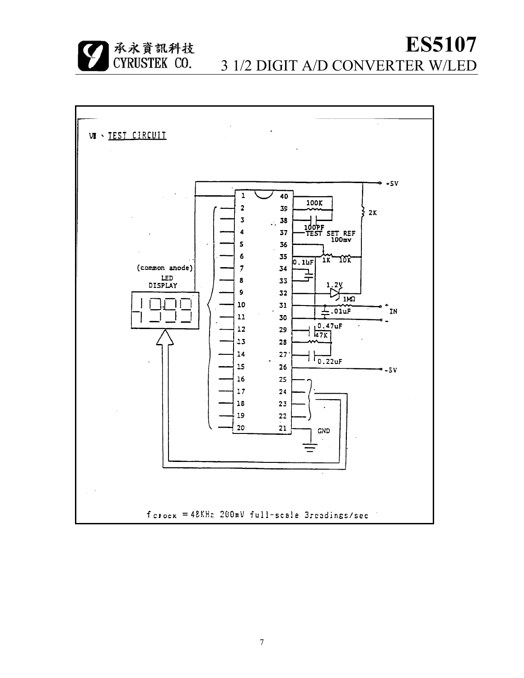承永資訊科技<br>CYRUSTEK CO.

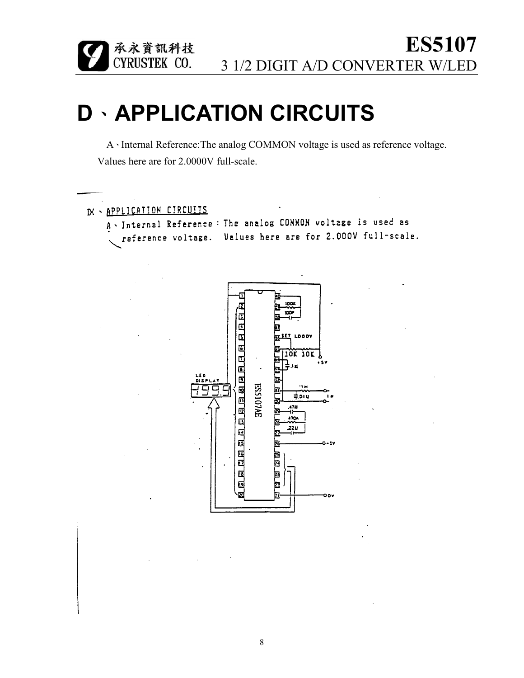# **D**、**APPLICATION CIRCUITS**

|承永資訊科技<br>|CYRUSTEK CO.

A、Internal Reference:The analog COMMON voltage is used as reference voltage. Values here are for 2.0000V full-scale.

```
IX - APPLICATION CIRCUITS
A VInternal Reference: The analog CONMON voltage is used as
  reference voltage. Values here are for 2.000V full-scale.
```
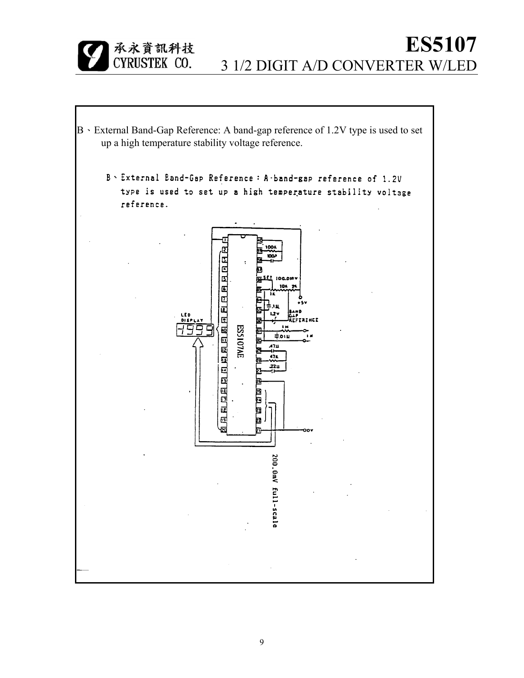

B、External Band-Gap Reference: A band-gap reference of 1.2V type is used to set up a high temperature stability voltage reference.B > External Band-Gap Reference : A -band-gap reference of 1.2V type is used to set up a high temperature stability voltage reference. Œ 6.0.6.6.6.6.6.6.6.6.6.6.6.6.6.6. **JOG.OIR** 105 **TAINET** iddo ESS107AE ⊉ום, 4711 .22ม שונו שוטו ᅊ 200.0mV full-scale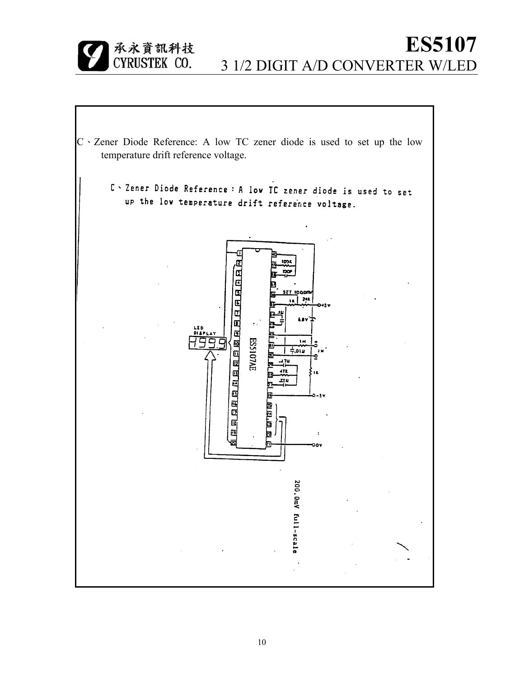

C . Zener Diode Reference : A low TC zener diode is used to set up the low temperature drift reference voltage.

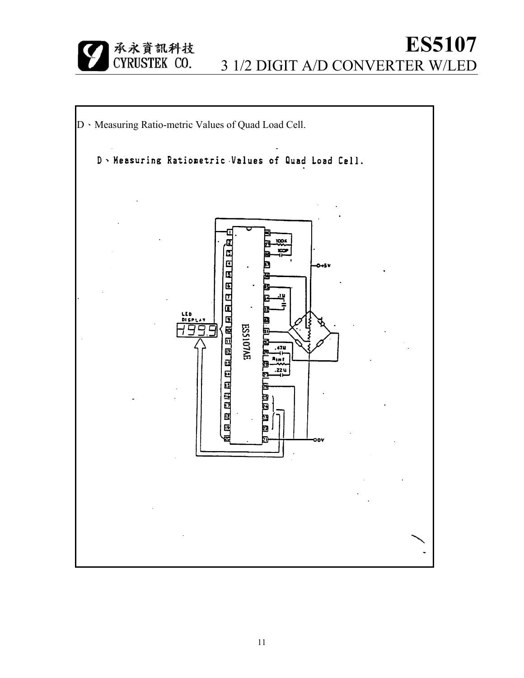

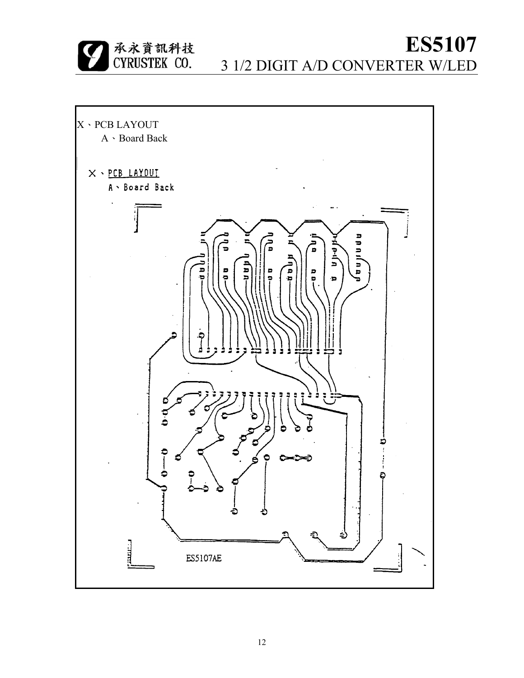**ES5107**

3 1/2 DIGIT A/D CONVERTER W/LED



承永資訊科技<br>CYRUSTEK CO.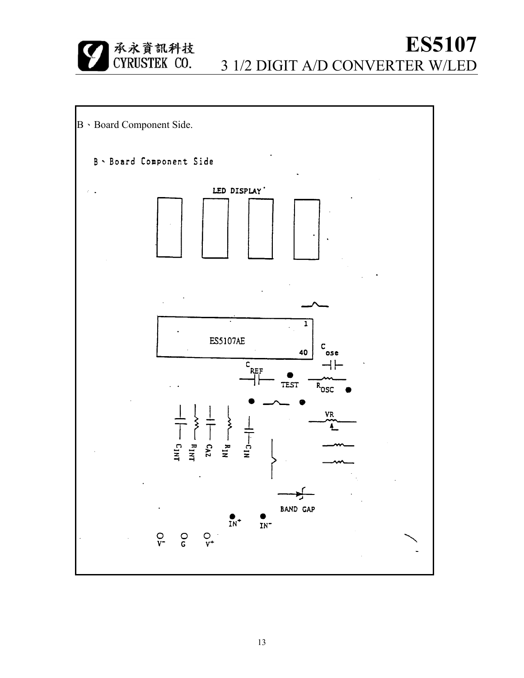

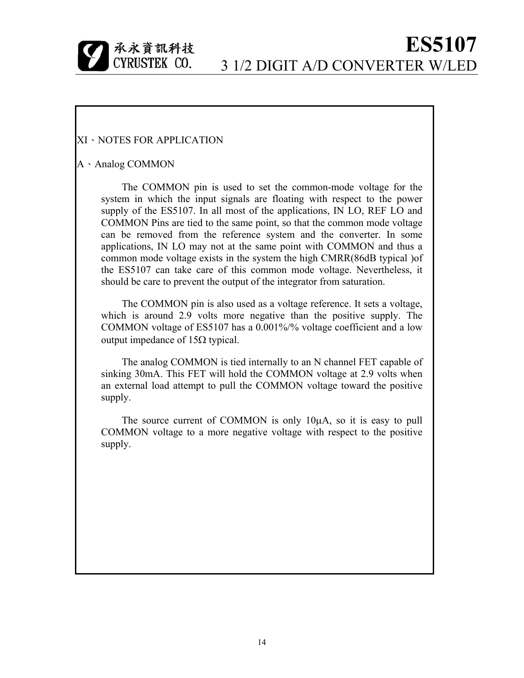

#### XI、NOTES FOR APPLICATION

#### A、Analog COMMON

The COMMON pin is used to set the common-mode voltage for the system in which the input signals are floating with respect to the power supply of the ES5107. In all most of the applications, IN LO, REF LO and COMMON Pins are tied to the same point, so that the common mode voltage can be removed from the reference system and the converter. In some applications, IN LO may not at the same point with COMMON and thus a common mode voltage exists in the system the high CMRR(86dB typical )of the ES5107 can take care of this common mode voltage. Nevertheless, it should be care to prevent the output of the integrator from saturation.

The COMMON pin is also used as a voltage reference. It sets a voltage, which is around 2.9 volts more negative than the positive supply. The COMMON voltage of ES5107 has a 0.001%/% voltage coefficient and a low output impedance of  $15Ω$  typical.

The analog COMMON is tied internally to an N channel FET capable of sinking 30mA. This FET will hold the COMMON voltage at 2.9 volts when an external load attempt to pull the COMMON voltage toward the positive supply.

The source current of COMMON is only 10µA, so it is easy to pull COMMON voltage to a more negative voltage with respect to the positive supply.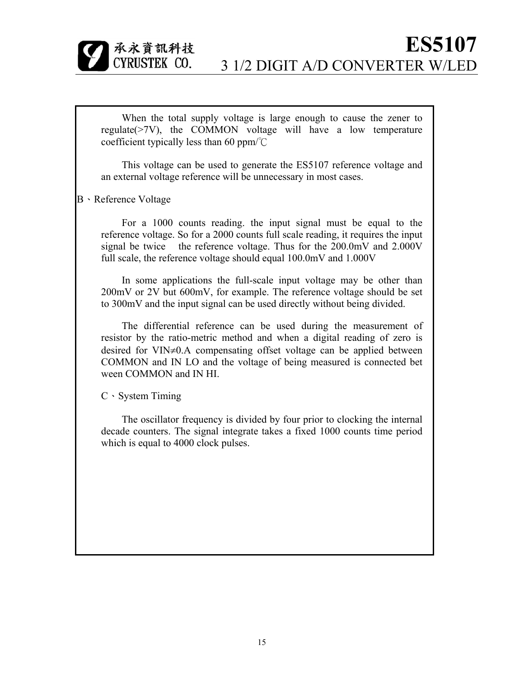承永資訊科技 CYRUSTEK CO.

When the total supply voltage is large enough to cause the zener to regulate( $>7V$ ), the COMMON voltage will have a low temperature coefficient typically less than 60 ppm/℃

This voltage can be used to generate the ES5107 reference voltage and an external voltage reference will be unnecessary in most cases.

B、Reference Voltage

For a 1000 counts reading. the input signal must be equal to the reference voltage. So for a 2000 counts full scale reading, it requires the input signal be twice the reference voltage. Thus for the 200.0mV and 2.000V full scale, the reference voltage should equal 100.0mV and 1.000V

In some applications the full-scale input voltage may be other than 200mV or 2V but 600mV, for example. The reference voltage should be set to 300mV and the input signal can be used directly without being divided.

The differential reference can be used during the measurement of resistor by the ratio-metric method and when a digital reading of zero is desired for VIN≠0.A compensating offset voltage can be applied between COMMON and IN LO and the voltage of being measured is connected bet ween COMMON and IN HI.

C、System Timing

The oscillator frequency is divided by four prior to clocking the internal decade counters. The signal integrate takes a fixed 1000 counts time period which is equal to 4000 clock pulses.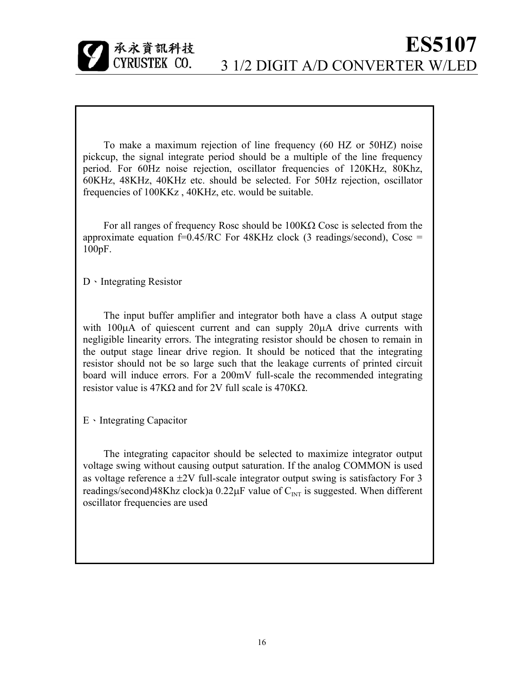

To make a maximum rejection of line frequency (60 HZ or 50HZ) noise pickcup, the signal integrate period should be a multiple of the line frequency period. For 60Hz noise rejection, oscillator frequencies of 120KHz, 80Khz, 60KHz, 48KHz, 40KHz etc. should be selected. For 50Hz rejection, oscillator frequencies of 100KKz , 40KHz, etc. would be suitable.

For all ranges of frequency Rosc should be 100KΩ Cosc is selected from the approximate equation  $f=0.45/RC$  For  $48KHz$  clock (3 readings/second), Cosc = 100pF.

D、Integrating Resistor

The input buffer amplifier and integrator both have a class A output stage with 100 $\mu$ A of quiescent current and can supply 20 $\mu$ A drive currents with negligible linearity errors. The integrating resistor should be chosen to remain in the output stage linear drive region. It should be noticed that the integrating resistor should not be so large such that the leakage currents of printed circuit board will induce errors. For a 200mV full-scale the recommended integrating resistor value is 47KΩ and for 2V full scale is 470KΩ.

E、Integrating Capacitor

The integrating capacitor should be selected to maximize integrator output voltage swing without causing output saturation. If the analog COMMON is used as voltage reference a ±2V full-scale integrator output swing is satisfactory For 3 readings/second)48Khz clock)a  $0.22\mu$ F value of C<sub>INT</sub> is suggested. When different oscillator frequencies are used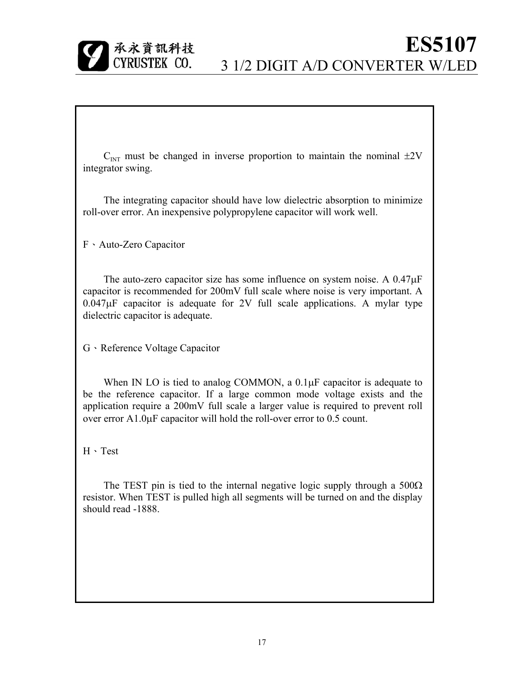

 $C_{\text{INT}}$  must be changed in inverse proportion to maintain the nominal  $\pm 2V$ integrator swing.

The integrating capacitor should have low dielectric absorption to minimize roll-over error. An inexpensive polypropylene capacitor will work well.

F、Auto-Zero Capacitor

The auto-zero capacitor size has some influence on system noise. A 0.47µF capacitor is recommended for 200mV full scale where noise is very important. A  $0.047\mu$ F capacitor is adequate for 2V full scale applications. A mylar type dielectric capacitor is adequate.

G、Reference Voltage Capacitor

When IN LO is tied to analog COMMON, a  $0.1 \mu$ F capacitor is adequate to be the reference capacitor. If a large common mode voltage exists and the application require a 200mV full scale a larger value is required to prevent roll over error A1.0µF capacitor will hold the roll-over error to 0.5 count.

H、Test

The TEST pin is tied to the internal negative logic supply through a  $500\Omega$ resistor. When TEST is pulled high all segments will be turned on and the display should read -1888.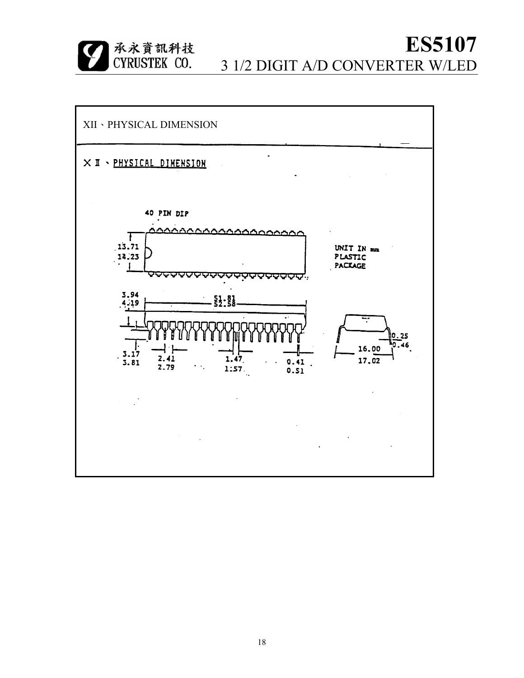



18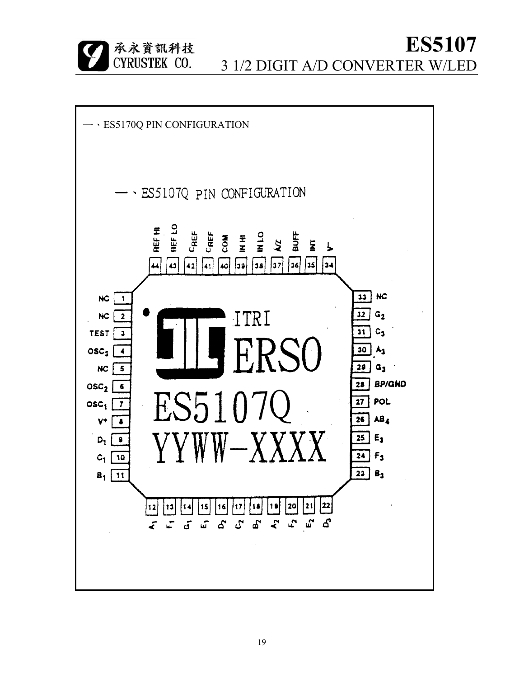承永資訊科技 CYRUSTEK CO.